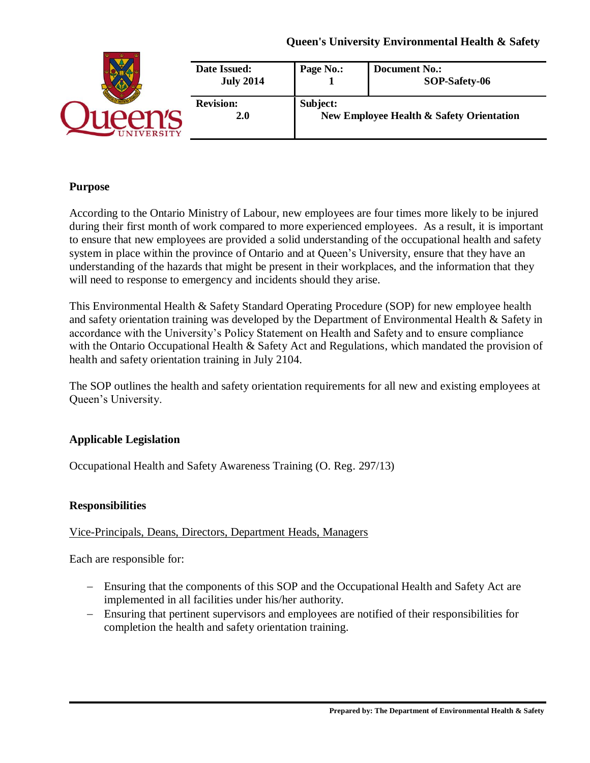|                  | Date Issued:<br><b>July 2014</b> | Page No.:                                            | <b>Document No.:</b><br>SOP-Safety-06 |
|------------------|----------------------------------|------------------------------------------------------|---------------------------------------|
| <b>IIVERSITY</b> | <b>Revision:</b><br><b>2.0</b>   | Subject:<br>New Employee Health & Safety Orientation |                                       |

#### **Purpose**

According to the Ontario Ministry of Labour, new employees are four times more likely to be injured during their first month of work compared to more experienced employees. As a result, it is important to ensure that new employees are provided a solid understanding of the occupational health and safety system in place within the province of Ontario and at Queen's University, ensure that they have an understanding of the hazards that might be present in their workplaces, and the information that they will need to response to emergency and incidents should they arise.

This Environmental Health & Safety Standard Operating Procedure (SOP) for new employee health and safety orientation training was developed by the Department of Environmental Health & Safety in accordance with the University's Policy Statement on Health and Safety and to ensure compliance with the Ontario Occupational Health & Safety Act and Regulations, which mandated the provision of health and safety orientation training in July 2104.

The SOP outlines the health and safety orientation requirements for all new and existing employees at Queen's University.

## **Applicable Legislation**

Occupational Health and Safety Awareness Training (O. Reg. 297/13)

#### **Responsibilities**

#### Vice-Principals, Deans, Directors, Department Heads, Managers

Each are responsible for:

- − Ensuring that the components of this SOP and the Occupational Health and Safety Act are implemented in all facilities under his/her authority.
- − Ensuring that pertinent supervisors and employees are notified of their responsibilities for completion the health and safety orientation training.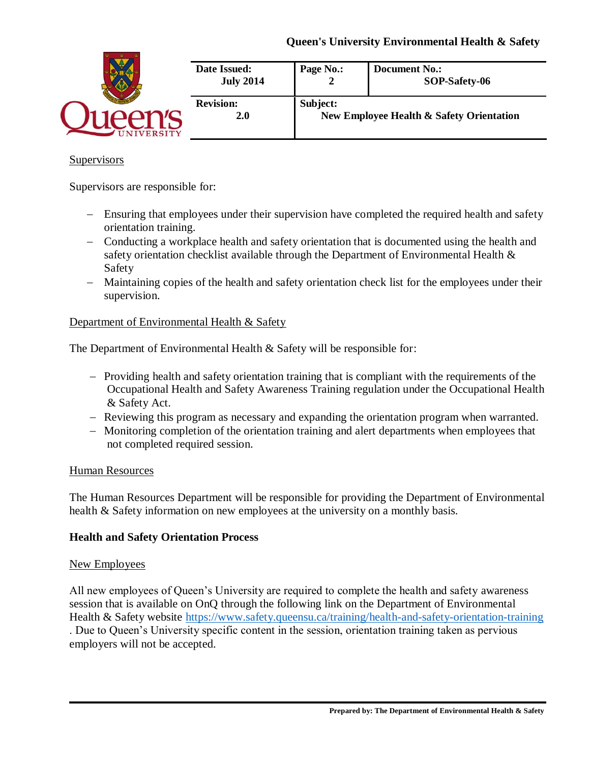|                  | Date Issued:<br><b>July 2014</b> | Page No.:                                            | <b>Document No.:</b><br>SOP-Safety-06 |
|------------------|----------------------------------|------------------------------------------------------|---------------------------------------|
| <b>NIVERSITY</b> | <b>Revision:</b><br>2.0          | Subject:<br>New Employee Health & Safety Orientation |                                       |

#### **Supervisors**

Supervisors are responsible for:

- − Ensuring that employees under their supervision have completed the required health and safety orientation training.
- − Conducting a workplace health and safety orientation that is documented using the health and safety orientation checklist available through the Department of Environmental Health & Safety
- − Maintaining copies of the health and safety orientation check list for the employees under their supervision.

#### Department of Environmental Health & Safety

The Department of Environmental Health & Safety will be responsible for:

- − Providing health and safety orientation training that is compliant with the requirements of the Occupational Health and Safety Awareness Training regulation under the Occupational Health & Safety Act.
- − Reviewing this program as necessary and expanding the orientation program when warranted.
- − Monitoring completion of the orientation training and alert departments when employees that not completed required session.

#### Human Resources

The Human Resources Department will be responsible for providing the Department of Environmental health & Safety information on new employees at the university on a monthly basis.

## **Health and Safety Orientation Process**

#### New Employees

All new employees of Queen's University are required to complete the health and safety awareness session that is available on OnQ through the following link on the Department of Environmental Health & Safety website<https://www.safety.queensu.ca/training/health-and-safety-orientation-training> . Due to Queen's University specific content in the session, orientation training taken as pervious employers will not be accepted.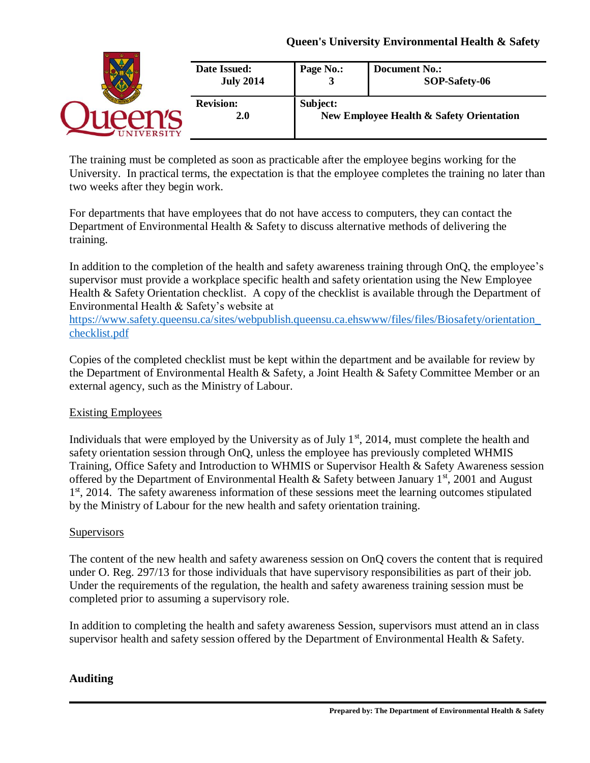|                 | Date Issued:<br><b>July 2014</b> | Page No.: | <b>Document No.:</b><br>SOP-Safety-06    |
|-----------------|----------------------------------|-----------|------------------------------------------|
| <b>IVERSITY</b> | <b>Revision:</b><br>2.0          | Subject:  | New Employee Health & Safety Orientation |

The training must be completed as soon as practicable after the employee begins working for the University. In practical terms, the expectation is that the employee completes the training no later than two weeks after they begin work.

For departments that have employees that do not have access to computers, they can contact the Department of Environmental Health & Safety to discuss alternative methods of delivering the training.

In addition to the completion of the health and safety awareness training through OnQ, the employee's supervisor must provide a workplace specific health and safety orientation using the New Employee Health & Safety Orientation checklist. A copy of the checklist is available through the Department of Environmental Health & Safety's website at

[https://www.safety.queensu.ca/sites/webpublish.queensu.ca.ehswww/files/files/Biosafety/orientation\\_](https://www.safety.queensu.ca/sites/webpublish.queensu.ca.ehswww/files/files/Biosafety/orientation_checklist.pdf) [checklist.pdf](https://www.safety.queensu.ca/sites/webpublish.queensu.ca.ehswww/files/files/Biosafety/orientation_checklist.pdf)

Copies of the completed checklist must be kept within the department and be available for review by the Department of Environmental Health & Safety, a Joint Health & Safety Committee Member or an external agency, such as the Ministry of Labour.

## Existing Employees

Individuals that were employed by the University as of July  $1<sup>st</sup>$ , 2014, must complete the health and safety orientation session through OnQ, unless the employee has previously completed WHMIS Training, Office Safety and Introduction to WHMIS or Supervisor Health & Safety Awareness session offered by the Department of Environmental Health  $\&$  Safety between January 1<sup>st</sup>, 2001 and August 1<sup>st</sup>, 2014. The safety awareness information of these sessions meet the learning outcomes stipulated by the Ministry of Labour for the new health and safety orientation training.

## **Supervisors**

The content of the new health and safety awareness session on OnQ covers the content that is required under O. Reg. 297/13 for those individuals that have supervisory responsibilities as part of their job. Under the requirements of the regulation, the health and safety awareness training session must be completed prior to assuming a supervisory role.

In addition to completing the health and safety awareness Session, supervisors must attend an in class supervisor health and safety session offered by the Department of Environmental Health & Safety.

## **Auditing**